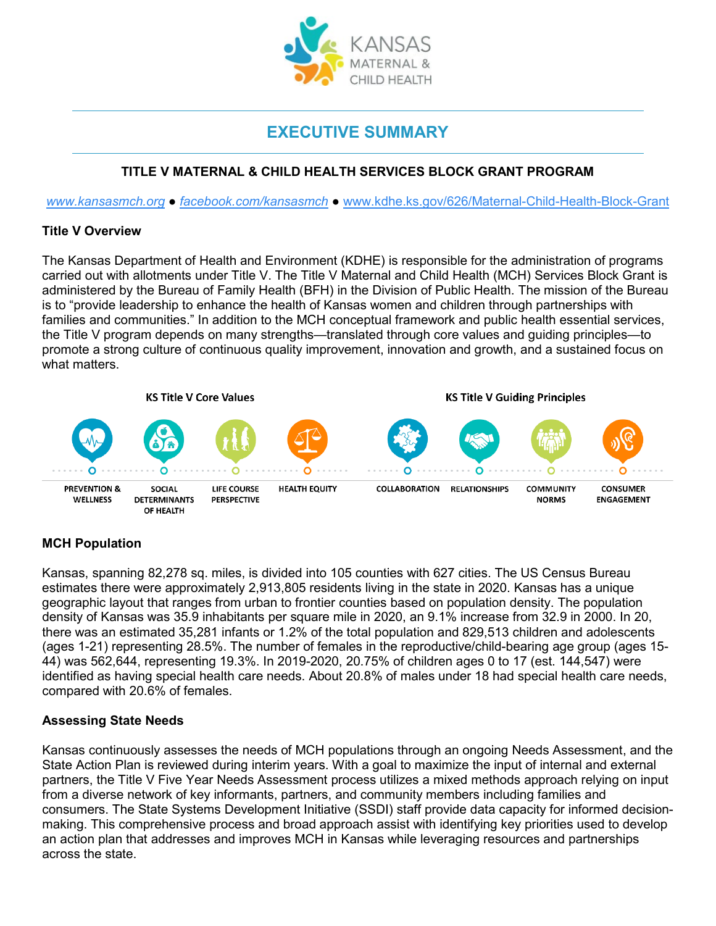

# **EXECUTIVE SUMMARY**

# **TITLE V MATERNAL & CHILD HEALTH SERVICES BLOCK GRANT PROGRAM**

*[www.kansasmch.org](http://www.kansasmch.org/) ● [facebook.com/kansasmch](https://www.facebook.com/kansasmch) ●* [www.kdhe.ks.gov/626/Maternal-Child-Health-Block-Grant](http://www.kdhe.ks.gov/626/Maternal-Child-Health-Block-Grant)

## **Title V Overview**

The Kansas Department of Health and Environment (KDHE) is responsible for the administration of programs carried out with allotments under Title V. The Title V Maternal and Child Health (MCH) Services Block Grant is administered by the Bureau of Family Health (BFH) in the Division of Public Health. The mission of the Bureau is to "provide leadership to enhance the health of Kansas women and children through partnerships with families and communities." In addition to the MCH conceptual framework and public health essential services, the Title V program depends on many strengths—translated through core values and guiding principles—to promote a strong culture of continuous quality improvement, innovation and growth, and a sustained focus on what matters.



# **MCH Population**

Kansas, spanning 82,278 sq. miles, is divided into 105 counties with 627 cities. The US Census Bureau estimates there were approximately 2,913,805 residents living in the state in 2020. Kansas has a unique geographic layout that ranges from urban to frontier counties based on population density. The population density of Kansas was 35.9 inhabitants per square mile in 2020, an 9.1% increase from 32.9 in 2000. In 20, there was an estimated 35,281 infants or 1.2% of the total population and 829,513 children and adolescents (ages 1-21) representing 28.5%. The number of females in the reproductive/child-bearing age group (ages 15- 44) was 562,644, representing 19.3%. In 2019-2020, 20.75% of children ages 0 to 17 (est. 144,547) were identified as having special health care needs. About 20.8% of males under 18 had special health care needs, compared with 20.6% of females.

# **Assessing State Needs**

Kansas continuously assesses the needs of MCH populations through an ongoing Needs Assessment, and the State Action Plan is reviewed during interim years. With a goal to maximize the input of internal and external partners, the Title V Five Year Needs Assessment process utilizes a mixed methods approach relying on input from a diverse network of key informants, partners, and community members including families and consumers. The State Systems Development Initiative (SSDI) staff provide data capacity for informed decisionmaking. This comprehensive process and broad approach assist with identifying key priorities used to develop an action plan that addresses and improves MCH in Kansas while leveraging resources and partnerships across the state.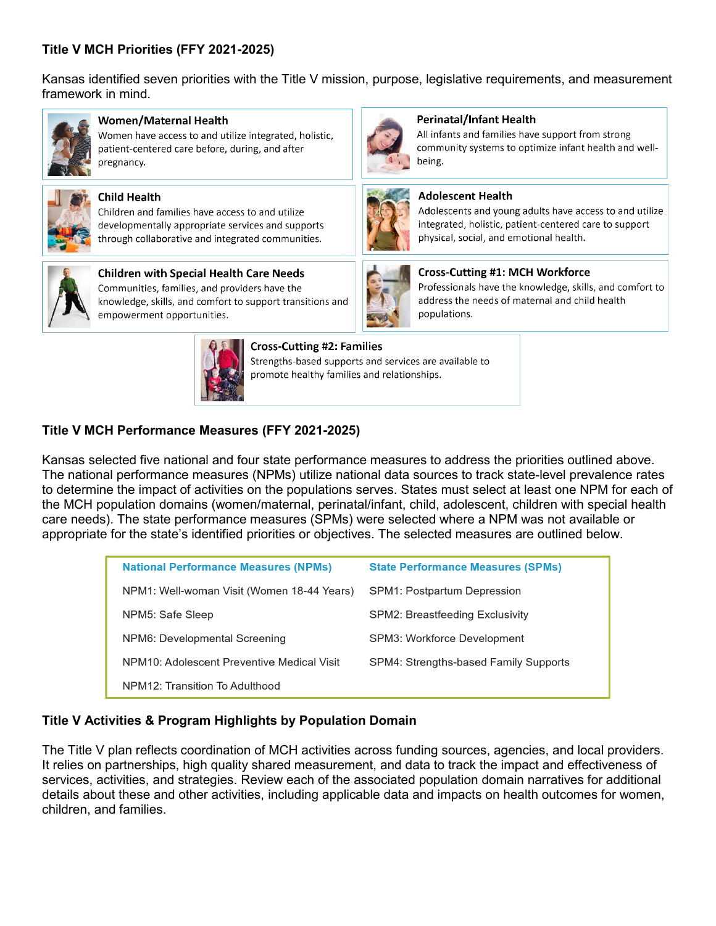# **Title V MCH Priorities (FFY 2021-2025)**

Kansas identified seven priorities with the Title V mission, purpose, legislative requirements, and measurement framework in mind.



### Women/Maternal Health

Women have access to and utilize integrated, holistic, patient-centered care before, during, and after pregnancy.



**Child Health** 

Children and families have access to and utilize developmentally appropriate services and supports through collaborative and integrated communities.



**Children with Special Health Care Needs** Communities, families, and providers have the knowledge, skills, and comfort to support transitions and empowerment opportunities.



#### **Cross-Cutting #2: Families**

Strengths-based supports and services are available to promote healthy families and relationships.

## **Title V MCH Performance Measures (FFY 2021-2025)**

Kansas selected five national and four state performance measures to address the priorities outlined above. The national performance measures (NPMs) utilize national data sources to track state-level prevalence rates to determine the impact of activities on the populations serves. States must select at least one NPM for each of the MCH population domains (women/maternal, perinatal/infant, child, adolescent, children with special health care needs). The state performance measures (SPMs) were selected where a NPM was not available or appropriate for the state's identified priorities or objectives. The selected measures are outlined below.

| <b>National Performance Measures (NPMs)</b> | <b>State Performance Measures (SPMs)</b> |
|---------------------------------------------|------------------------------------------|
| NPM1: Well-woman Visit (Women 18-44 Years)  | <b>SPM1: Postpartum Depression</b>       |
| NPM5: Safe Sleep                            | <b>SPM2: Breastfeeding Exclusivity</b>   |
| NPM6: Developmental Screening               | SPM3: Workforce Development              |
| NPM10: Adolescent Preventive Medical Visit  | SPM4: Strengths-based Family Supports    |
| NPM12: Transition To Adulthood              |                                          |

#### **Title V Activities & Program Highlights by Population Domain**

The Title V plan reflects coordination of MCH activities across funding sources, agencies, and local providers. It relies on partnerships, high quality shared measurement, and data to track the impact and effectiveness of services, activities, and strategies. Review each of the associated population domain narratives for additional details about these and other activities, including applicable data and impacts on health outcomes for women, children, and families.



#### **Perinatal/Infant Health**

All infants and families have support from strong community systems to optimize infant health and wellbeing.



#### **Adolescent Health**

Adolescents and young adults have access to and utilize integrated, holistic, patient-centered care to support physical, social, and emotional health.



# **Cross-Cutting #1: MCH Workforce**

Professionals have the knowledge, skills, and comfort to address the needs of maternal and child health populations.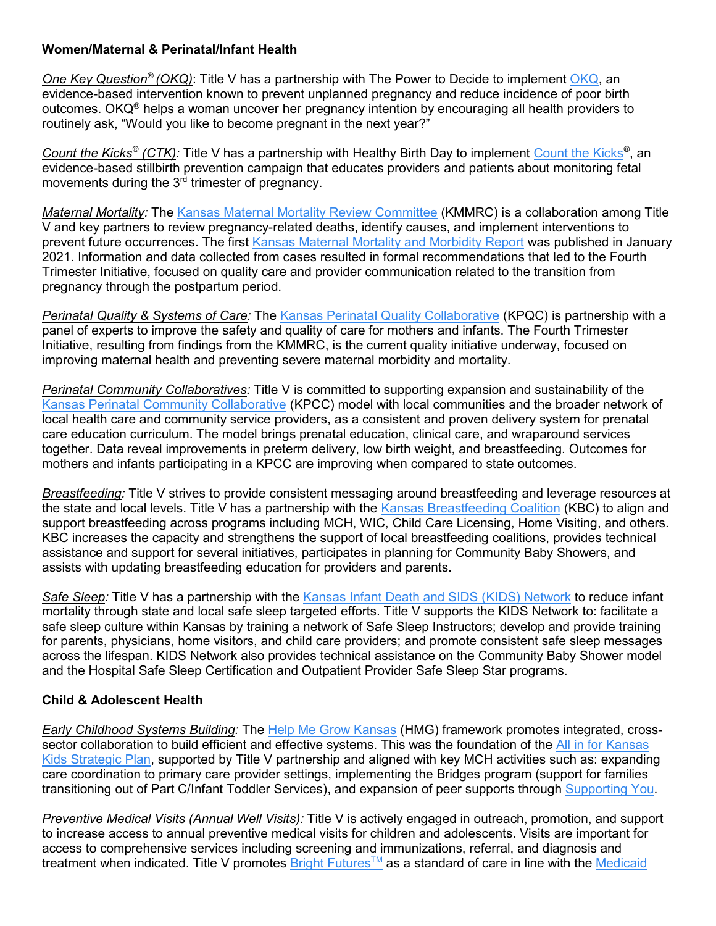## **Women/Maternal & Perinatal/Infant Health**

*One Key Question® (OKQ)*: Title V has a partnership with The Power to Decide to implement [OKQ,](https://powertodecide.org/node/456) an evidence-based intervention known to prevent unplanned pregnancy and reduce incidence of poor birth outcomes. OKQ<sup>®</sup> helps a woman uncover her pregnancy intention by encouraging all health providers to routinely ask, "Would you like to become pregnant in the next year?"

*Count the Kicks® (CTK):* Title V has a partnership with Healthy Birth Day to implement [Count the Kicks](https://www.countthekicks.org/)*®*, an evidence-based stillbirth prevention campaign that educates providers and patients about monitoring fetal movements during the 3<sup>rd</sup> trimester of pregnancy.

*Maternal Mortality:* The [Kansas Maternal Mortality Review Committee](https://kmmrc.org/) (KMMRC) is a collaboration among Title V and key partners to review pregnancy-related deaths, identify causes, and implement interventions to prevent future occurrences. The first [Kansas Maternal Mortality and Morbidity Report](https://kmmrc.org/reports/) was published in January 2021. Information and data collected from cases resulted in formal recommendations that led to the Fourth Trimester Initiative, focused on quality care and provider communication related to the transition from pregnancy through the postpartum period.

*Perinatal Quality & Systems of Care:* The [Kansas Perinatal Quality Collaborative](https://kansaspqc.org/) (KPQC) is partnership with a panel of experts to improve the safety and quality of care for mothers and infants. The Fourth Trimester Initiative, resulting from findings from the KMMRC, is the current quality initiative underway, focused on improving maternal health and preventing severe maternal morbidity and mortality.

*Perinatal Community Collaboratives:* Title V is committed to supporting expansion and sustainability of the [Kansas Perinatal Community Collaborative](http://www.kdheks.gov/c-f/perinatal_community_collaboratives.htm) (KPCC) model with local communities and the broader network of local health care and community service providers, as a consistent and proven delivery system for prenatal care education curriculum. The model brings prenatal education, clinical care, and wraparound services together. Data reveal improvements in preterm delivery, low birth weight, and breastfeeding. Outcomes for mothers and infants participating in a KPCC are improving when compared to state outcomes.

*Breastfeeding:* Title V strives to provide consistent messaging around breastfeeding and leverage resources at the state and local levels. Title V has a partnership with the [Kansas Breastfeeding Coalition](http://ksbreastfeeding.org/) (KBC) to align and support breastfeeding across programs including MCH, WIC, Child Care Licensing, Home Visiting, and others. KBC increases the capacity and strengthens the support of local breastfeeding coalitions, provides technical assistance and support for several initiatives, participates in planning for Community Baby Showers, and assists with updating breastfeeding education for providers and parents.

*Safe Sleep:* Title V has a partnership with the [Kansas Infant Death and SIDS \(KIDS\) Network](http://www.kidsks.org/) to reduce infant mortality through state and local safe sleep targeted efforts. Title V supports the KIDS Network to: facilitate a safe sleep culture within Kansas by training a network of Safe Sleep Instructors; develop and provide training for parents, physicians, home visitors, and child care providers; and promote consistent safe sleep messages across the lifespan. KIDS Network also provides technical assistance on the Community Baby Shower model and the Hospital Safe Sleep Certification and Outpatient Provider Safe Sleep Star programs.

# **Child & Adolescent Health**

*Early Childhood Systems Building:* The [Help Me Grow Kansas](https://helpmegrowks.org/) (HMG) framework promotes integrated, crosssector collaboration to build efficient and effective systems. This was the foundation of the All in for Kansas [Kids Strategic Plan,](https://kschildrenscabinet.org/wp-content/uploads/2020/04/All_in_for_Kansas_Kids_Strategic_Plan_4.10.20.pdf) supported by Title V partnership and aligned with key MCH activities such as: expanding care coordination to primary care provider settings, implementing the Bridges program (support for families transitioning out of Part C/Infant Toddler Services), and expansion of peer supports through [Supporting You.](https://www.supportingyoukansas.org/)

*Preventive Medical Visits (Annual Well Visits):* Title V is actively engaged in outreach, promotion, and support to increase access to annual preventive medical visits for children and adolescents. Visits are important for access to comprehensive services including screening and immunizations, referral, and diagnosis and treatment when indicated. Title V promotes Bright Futures™ as a standard of care in line with the Medicaid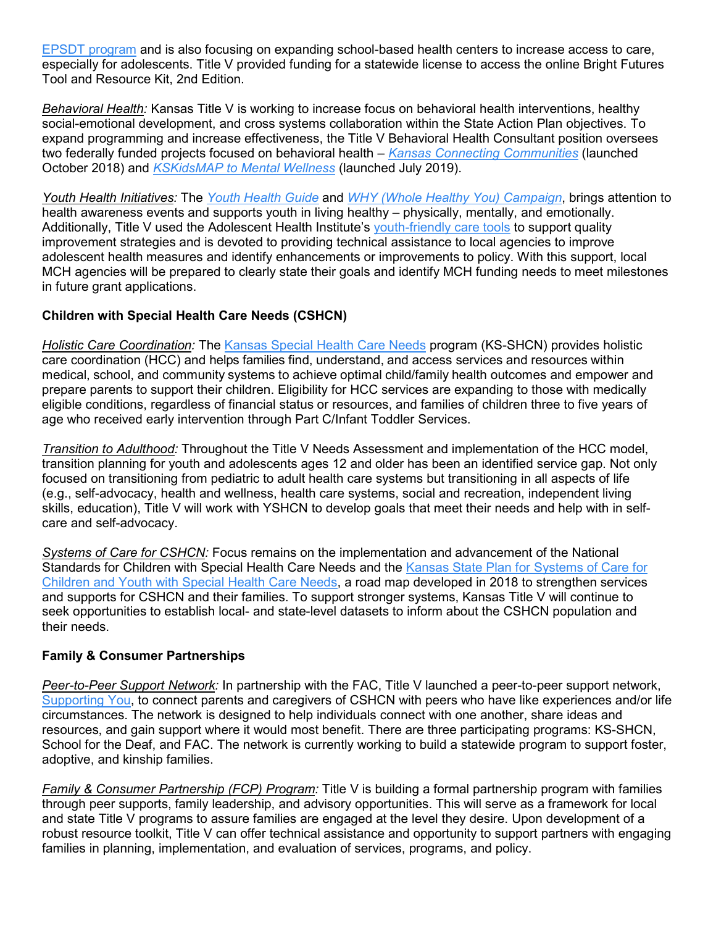[EPSDT program](https://www.medicaid.gov/medicaid/benefits/epsdt/index.html) and is also focusing on expanding school-based health centers to increase access to care, especially for adolescents. Title V provided funding for a statewide license to access the online Bright Futures Tool and Resource Kit, 2nd Edition.

*Behavioral Health:* Kansas Title V is working to increase focus on behavioral health interventions, healthy social-emotional development, and cross systems collaboration within the State Action Plan objectives. To expand programming and increase effectiveness, the Title V Behavioral Health Consultant position oversees two federally funded projects focused on behavioral health – *Kansas [Connecting Communities](https://www.kdheks.gov/c-f/KS_Perinatal_Behavioral_Health.htm)* (launched October 2018) and *KSKidsMAP [to Mental Wellness](http://wichita.kumc.edu/psychiatry-and-behavioral-sciences/kskidsmap.html)* (launched July 2019).

*Youth Health Initiatives:* The *[Youth Health Guide](http://www.kansasmch.org/documents/Youth_Health_Guide.pdf)* and *[WHY \(Whole Healthy You\) Campaign](http://www.wholehealthyyouks.org/)*, brings attention to health awareness events and supports youth in living healthy – physically, mentally, and emotionally. Additionally, Title V used the Adolescent Health Institute's [youth-friendly care tools](https://www.umhs-adolescenthealth.org/) to support quality improvement strategies and is devoted to providing technical assistance to local agencies to improve adolescent health measures and identify enhancements or improvements to policy. With this support, local MCH agencies will be prepared to clearly state their goals and identify MCH funding needs to meet milestones in future grant applications.

# **Children with Special Health Care Needs (CSHCN)**

*Holistic Care Coordination:* The [Kansas Special Health Care Needs](https://www.kdheks.gov/shcn/index.htm) program (KS-SHCN) provides holistic care coordination (HCC) and helps families find, understand, and access services and resources within medical, school, and community systems to achieve optimal child/family health outcomes and empower and prepare parents to support their children. Eligibility for HCC services are expanding to those with medically eligible conditions, regardless of financial status or resources, and families of children three to five years of age who received early intervention through Part C/Infant Toddler Services.

*Transition to Adulthood:* Throughout the Title V Needs Assessment and implementation of the HCC model, transition planning for youth and adolescents ages 12 and older has been an identified service gap. Not only focused on transitioning from pediatric to adult health care systems but transitioning in all aspects of life (e.g., self-advocacy, health and wellness, health care systems, social and recreation, independent living skills, education), Title V will work with YSHCN to develop goals that meet their needs and help with in selfcare and self-advocacy.

*Systems of Care for CSHCN:* Focus remains on the implementation and advancement of the National Standards for Children with Special Health Care Needs and the Kansas State Plan for Systems of Care for [Children and Youth with Special Health Care Needs,](https://www.kansasmch.org/domains.asp) a road map developed in 2018 to strengthen services and supports for CSHCN and their families. To support stronger systems, Kansas Title V will continue to seek opportunities to establish local- and state-level datasets to inform about the CSHCN population and their needs.

# **Family & Consumer Partnerships**

*Peer-to-Peer Support Network:* In partnership with the FAC, Title V launched a peer-to-peer support network, [Supporting You,](https://supportingyoukansas.org/) to connect parents and caregivers of CSHCN with peers who have like experiences and/or life circumstances. The network is designed to help individuals connect with one another, share ideas and resources, and gain support where it would most benefit. There are three participating programs: KS-SHCN, School for the Deaf, and FAC. The network is currently working to build a statewide program to support foster, adoptive, and kinship families.

*Family & Consumer Partnership (FCP) Program:* Title V is building a formal partnership program with families through peer supports, family leadership, and advisory opportunities. This will serve as a framework for local and state Title V programs to assure families are engaged at the level they desire. Upon development of a robust resource toolkit, Title V can offer technical assistance and opportunity to support partners with engaging families in planning, implementation, and evaluation of services, programs, and policy.